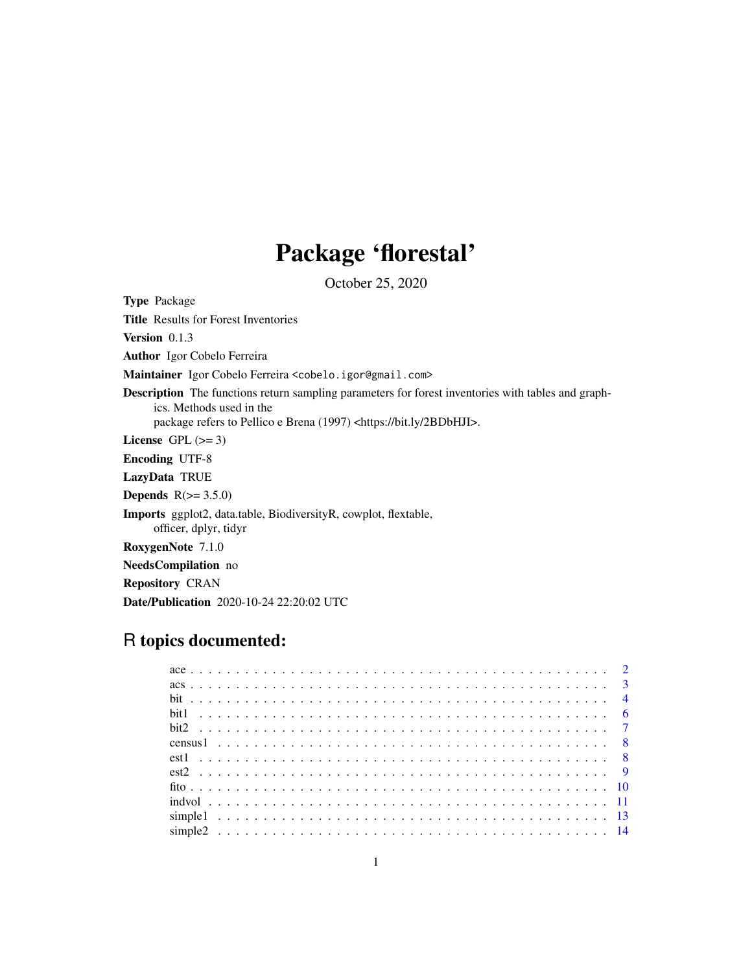# Package 'florestal'

October 25, 2020

Type Package Title Results for Forest Inventories Version 0.1.3 Author Igor Cobelo Ferreira Maintainer Igor Cobelo Ferreira <cobelo.igor@gmail.com> Description The functions return sampling parameters for forest inventories with tables and graphics. Methods used in the package refers to Pellico e Brena (1997) <https://bit.ly/2BDbHJI>. License GPL  $(>= 3)$ Encoding UTF-8 LazyData TRUE Depends  $R(>= 3.5.0)$ Imports ggplot2, data.table, BiodiversityR, cowplot, flextable, officer, dplyr, tidyr RoxygenNote 7.1.0 NeedsCompilation no Repository CRAN Date/Publication 2020-10-24 22:20:02 UTC

# R topics documented: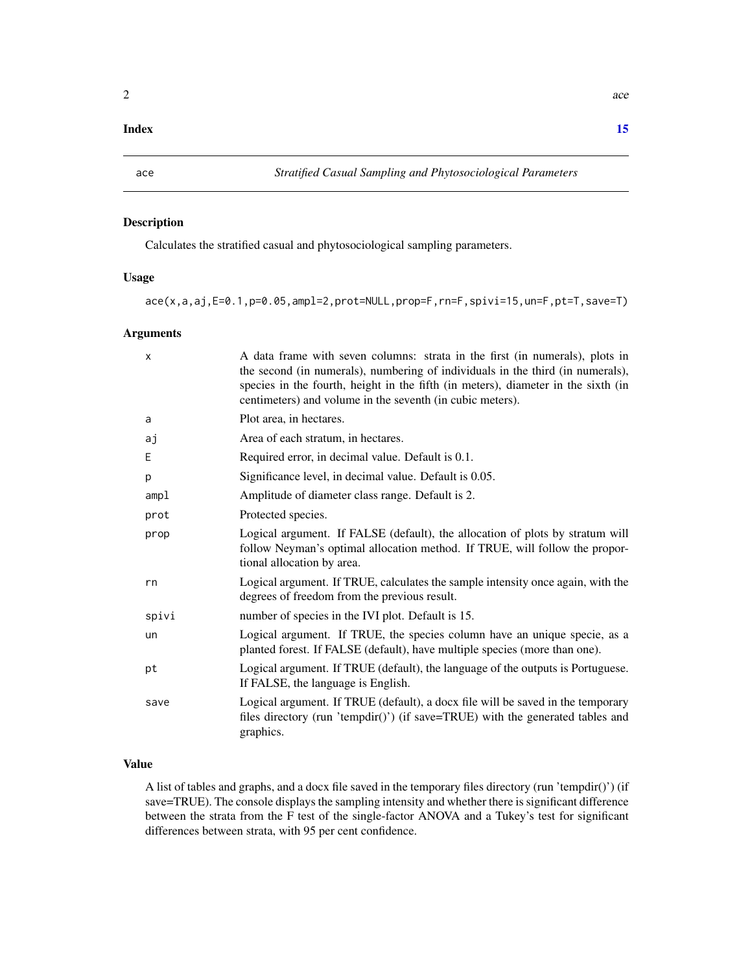#### <span id="page-1-0"></span>**Index** [15](#page-14-0)

# Description

Calculates the stratified casual and phytosociological sampling parameters.

# Usage

ace(x,a,aj,E=0.1,p=0.05,ampl=2,prot=NULL,prop=F,rn=F,spivi=15,un=F,pt=T,save=T)

## Arguments

| X     | A data frame with seven columns: strata in the first (in numerals), plots in<br>the second (in numerals), numbering of individuals in the third (in numerals),<br>species in the fourth, height in the fifth (in meters), diameter in the sixth (in<br>centimeters) and volume in the seventh (in cubic meters). |
|-------|------------------------------------------------------------------------------------------------------------------------------------------------------------------------------------------------------------------------------------------------------------------------------------------------------------------|
| a     | Plot area, in hectares.                                                                                                                                                                                                                                                                                          |
| аj    | Area of each stratum, in hectares.                                                                                                                                                                                                                                                                               |
| Ε     | Required error, in decimal value. Default is 0.1.                                                                                                                                                                                                                                                                |
| p     | Significance level, in decimal value. Default is 0.05.                                                                                                                                                                                                                                                           |
| amp1  | Amplitude of diameter class range. Default is 2.                                                                                                                                                                                                                                                                 |
| prot  | Protected species.                                                                                                                                                                                                                                                                                               |
| prop  | Logical argument. If FALSE (default), the allocation of plots by stratum will<br>follow Neyman's optimal allocation method. If TRUE, will follow the propor-<br>tional allocation by area.                                                                                                                       |
| rn    | Logical argument. If TRUE, calculates the sample intensity once again, with the<br>degrees of freedom from the previous result.                                                                                                                                                                                  |
| spivi | number of species in the IVI plot. Default is 15.                                                                                                                                                                                                                                                                |
| un    | Logical argument. If TRUE, the species column have an unique specie, as a<br>planted forest. If FALSE (default), have multiple species (more than one).                                                                                                                                                          |
| pt    | Logical argument. If TRUE (default), the language of the outputs is Portuguese.<br>If FALSE, the language is English.                                                                                                                                                                                            |
| save  | Logical argument. If TRUE (default), a docx file will be saved in the temporary<br>files directory (run 'tempdir()') (if save=TRUE) with the generated tables and<br>graphics.                                                                                                                                   |

# Value

A list of tables and graphs, and a docx file saved in the temporary files directory (run 'tempdir()') (if save=TRUE). The console displays the sampling intensity and whether there is significant difference between the strata from the F test of the single-factor ANOVA and a Tukey's test for significant differences between strata, with 95 per cent confidence.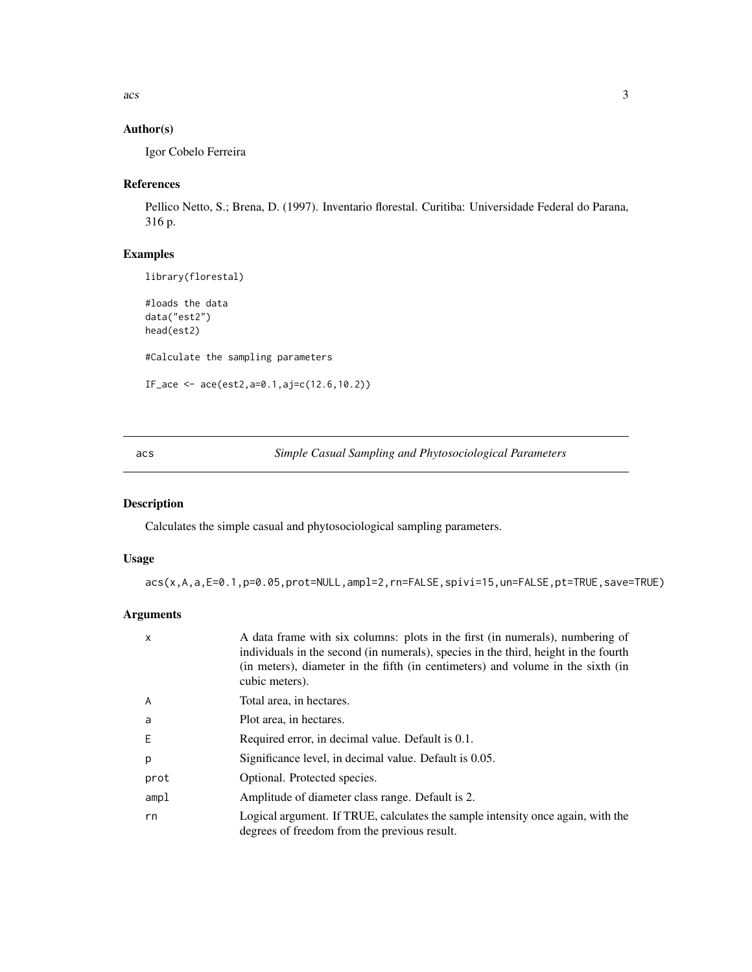<span id="page-2-0"></span> $\frac{1}{3}$ 

# Author(s)

Igor Cobelo Ferreira

# References

Pellico Netto, S.; Brena, D. (1997). Inventario florestal. Curitiba: Universidade Federal do Parana, 316 p.

# Examples

```
library(florestal)
```

```
#loads the data
data("est2")
head(est2)
#Calculate the sampling parameters
IF_ace <- ace(est2,a=0.1,aj=c(12.6,10.2))
```
acs *Simple Casual Sampling and Phytosociological Parameters*

# Description

Calculates the simple casual and phytosociological sampling parameters.

# Usage

```
acs(x,A,a,E=0.1,p=0.05,prot=NULL,ampl=2,rn=FALSE,spivi=15,un=FALSE,pt=TRUE,save=TRUE)
```
# Arguments

| $\mathsf{x}$ | A data frame with six columns: plots in the first (in numerals), numbering of<br>individuals in the second (in numerals), species in the third, height in the fourth<br>(in meters), diameter in the fifth (in centimeters) and volume in the sixth (in<br>cubic meters). |
|--------------|---------------------------------------------------------------------------------------------------------------------------------------------------------------------------------------------------------------------------------------------------------------------------|
| A            | Total area, in hectares.                                                                                                                                                                                                                                                  |
| a            | Plot area, in hectares.                                                                                                                                                                                                                                                   |
| Ε            | Required error, in decimal value. Default is 0.1.                                                                                                                                                                                                                         |
| p            | Significance level, in decimal value. Default is 0.05.                                                                                                                                                                                                                    |
| prot         | Optional. Protected species.                                                                                                                                                                                                                                              |
| amp1         | Amplitude of diameter class range. Default is 2.                                                                                                                                                                                                                          |
| rn           | Logical argument. If TRUE, calculates the sample intensity once again, with the<br>degrees of freedom from the previous result.                                                                                                                                           |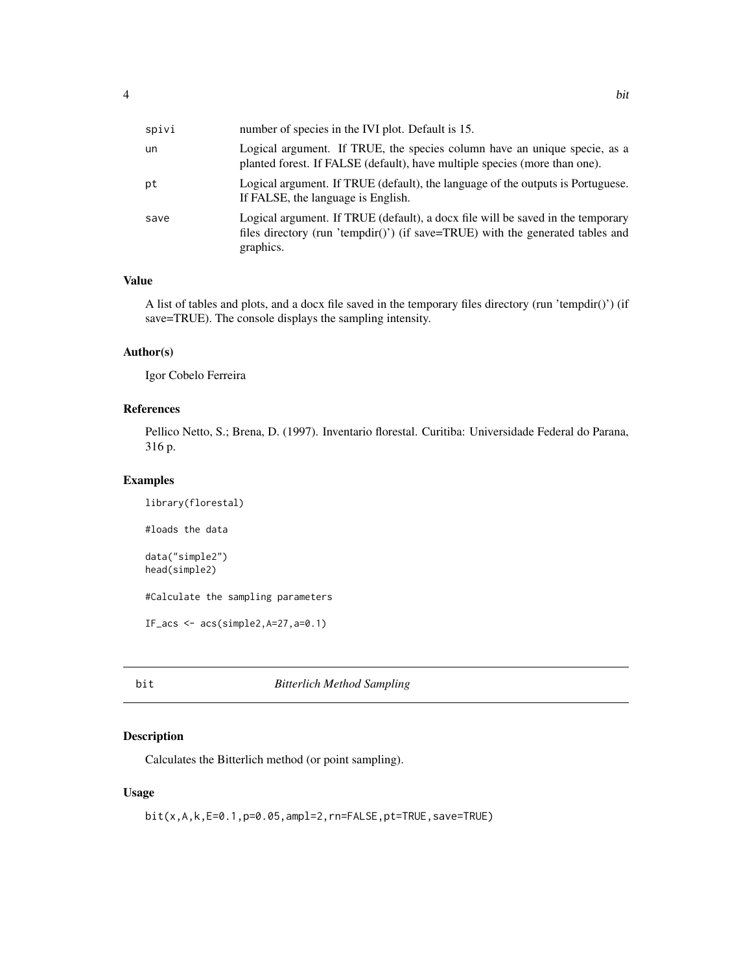<span id="page-3-0"></span>

| spivi | number of species in the IVI plot. Default is 15.                                                                                                                              |
|-------|--------------------------------------------------------------------------------------------------------------------------------------------------------------------------------|
| un    | Logical argument. If TRUE, the species column have an unique specie, as a<br>planted forest. If FALSE (default), have multiple species (more than one).                        |
| рt    | Logical argument. If TRUE (default), the language of the outputs is Portuguese.<br>If FALSE, the language is English.                                                          |
| save  | Logical argument. If TRUE (default), a docx file will be saved in the temporary<br>files directory (run 'tempdir()') (if save=TRUE) with the generated tables and<br>graphics. |

# Value

A list of tables and plots, and a docx file saved in the temporary files directory (run 'tempdir()') (if save=TRUE). The console displays the sampling intensity.

# Author(s)

Igor Cobelo Ferreira

# References

Pellico Netto, S.; Brena, D. (1997). Inventario florestal. Curitiba: Universidade Federal do Parana, 316 p.

# Examples

```
library(florestal)
#loads the data
data("simple2")
head(simple2)
#Calculate the sampling parameters
IF_acs \leq acs(simple2, A=27, a=0.1)
```
bit *Bitterlich Method Sampling*

# Description

Calculates the Bitterlich method (or point sampling).

### Usage

bit(x,A,k,E=0.1,p=0.05,ampl=2,rn=FALSE,pt=TRUE,save=TRUE)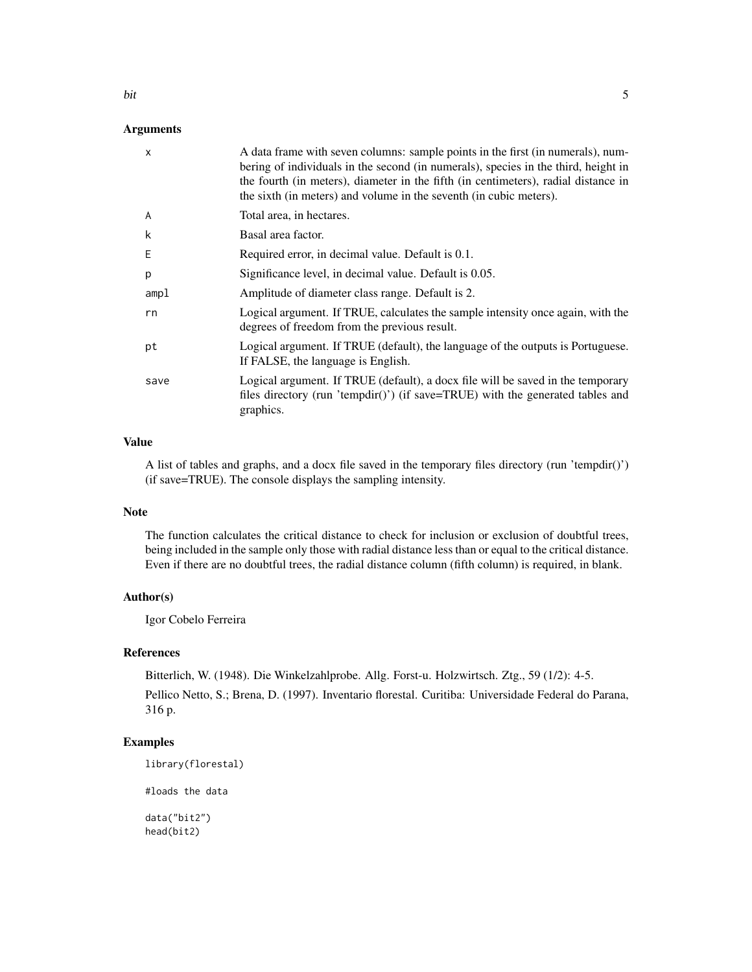#### Arguments

| $\mathsf{x}$ | A data frame with seven columns: sample points in the first (in numerals), num-<br>bering of individuals in the second (in numerals), species in the third, height in<br>the fourth (in meters), diameter in the fifth (in centimeters), radial distance in<br>the sixth (in meters) and volume in the seventh (in cubic meters). |
|--------------|-----------------------------------------------------------------------------------------------------------------------------------------------------------------------------------------------------------------------------------------------------------------------------------------------------------------------------------|
| A            | Total area, in hectares.                                                                                                                                                                                                                                                                                                          |
| k            | Basal area factor.                                                                                                                                                                                                                                                                                                                |
| E            | Required error, in decimal value. Default is 0.1.                                                                                                                                                                                                                                                                                 |
| p            | Significance level, in decimal value. Default is 0.05.                                                                                                                                                                                                                                                                            |
| amp1         | Amplitude of diameter class range. Default is 2.                                                                                                                                                                                                                                                                                  |
| rn           | Logical argument. If TRUE, calculates the sample intensity once again, with the<br>degrees of freedom from the previous result.                                                                                                                                                                                                   |
| рt           | Logical argument. If TRUE (default), the language of the outputs is Portuguese.<br>If FALSE, the language is English.                                                                                                                                                                                                             |
| save         | Logical argument. If TRUE (default), a docx file will be saved in the temporary<br>files directory (run 'tempdir()') (if save=TRUE) with the generated tables and<br>graphics.                                                                                                                                                    |
|              |                                                                                                                                                                                                                                                                                                                                   |

# Value

A list of tables and graphs, and a docx file saved in the temporary files directory (run 'tempdir()') (if save=TRUE). The console displays the sampling intensity.

# Note

The function calculates the critical distance to check for inclusion or exclusion of doubtful trees, being included in the sample only those with radial distance less than or equal to the critical distance. Even if there are no doubtful trees, the radial distance column (fifth column) is required, in blank.

### Author(s)

Igor Cobelo Ferreira

# References

Bitterlich, W. (1948). Die Winkelzahlprobe. Allg. Forst-u. Holzwirtsch. Ztg., 59 (1/2): 4-5. Pellico Netto, S.; Brena, D. (1997). Inventario florestal. Curitiba: Universidade Federal do Parana, 316 p.

# Examples

```
library(florestal)
```
#loads the data

data("bit2") head(bit2)

bit 5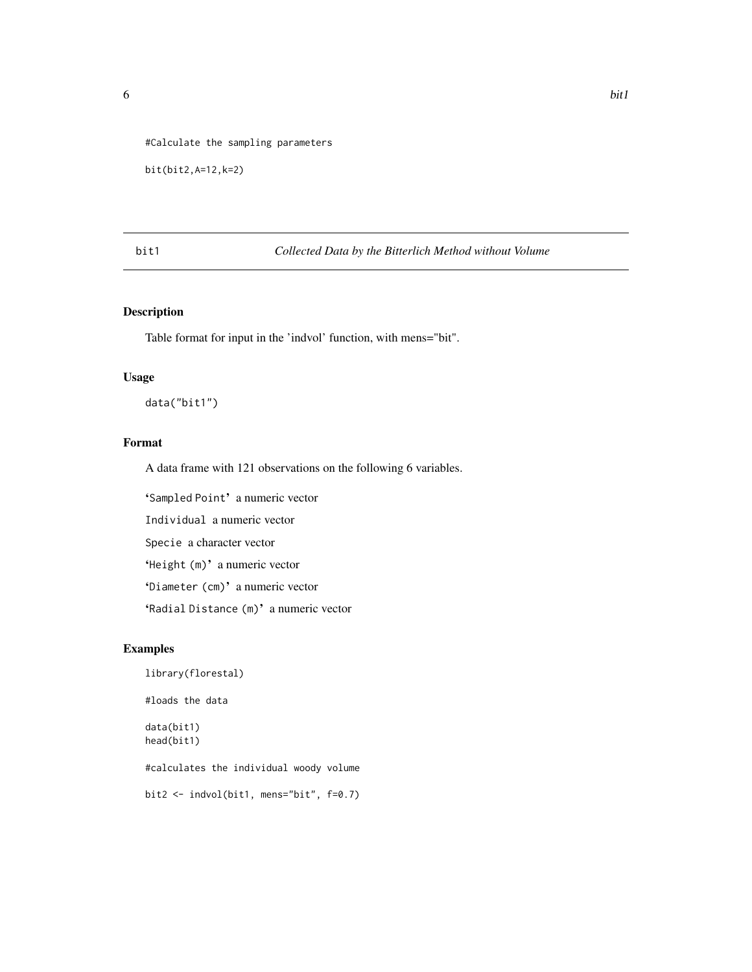<span id="page-5-0"></span>#Calculate the sampling parameters

```
bit(bit2,A=12,k=2)
```
bit1 *Collected Data by the Bitterlich Method without Volume*

# Description

Table format for input in the 'indvol' function, with mens="bit".

#### Usage

data("bit1")

# Format

A data frame with 121 observations on the following 6 variables.

'Sampled Point' a numeric vector

Individual a numeric vector

Specie a character vector

'Height (m)' a numeric vector

'Diameter (cm)' a numeric vector

'Radial Distance (m)' a numeric vector

# Examples

```
library(florestal)
#loads the data
data(bit1)
head(bit1)
#calculates the individual woody volume
bit2 <- indvol(bit1, mens="bit", f=0.7)
```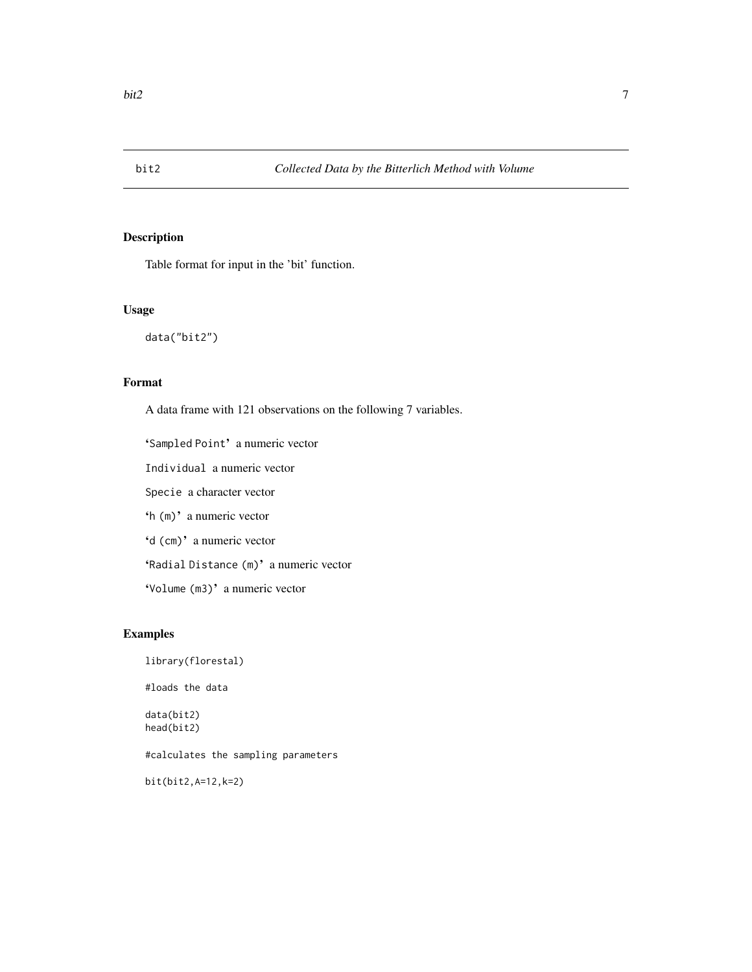<span id="page-6-0"></span>

# Description

Table format for input in the 'bit' function.

#### Usage

data("bit2")

# Format

A data frame with 121 observations on the following 7 variables.

'Sampled Point' a numeric vector

Individual a numeric vector

Specie a character vector

'h (m)' a numeric vector

'd (cm)' a numeric vector

'Radial Distance (m)' a numeric vector

'Volume (m3)' a numeric vector

# Examples

library(florestal) #loads the data data(bit2) head(bit2) #calculates the sampling parameters bit(bit2,A=12,k=2)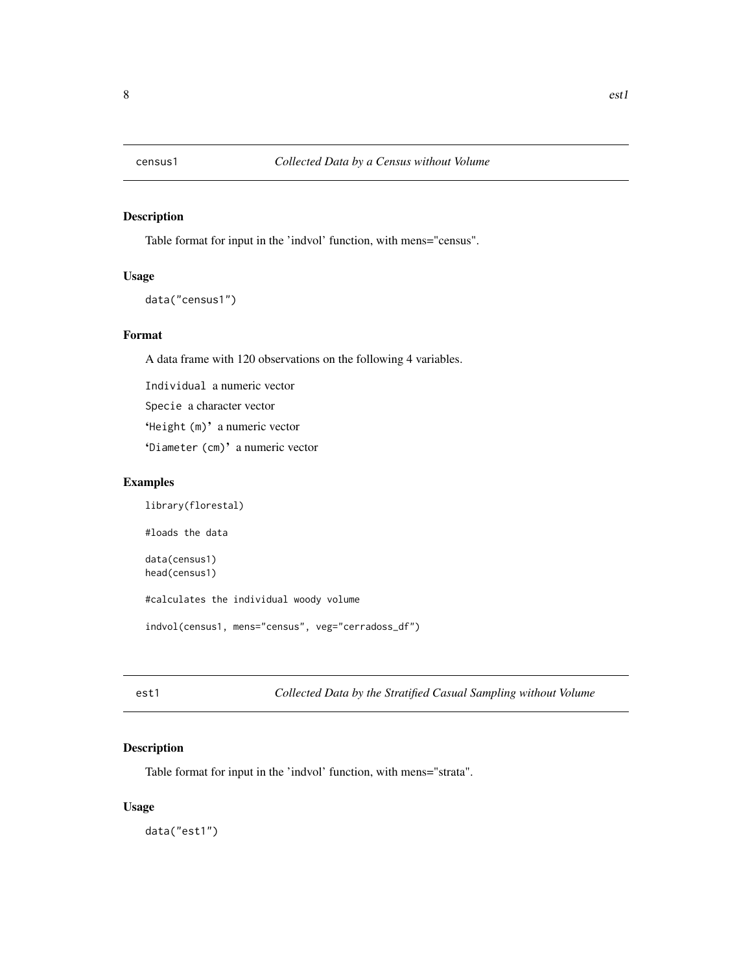<span id="page-7-0"></span>

# Description

Table format for input in the 'indvol' function, with mens="census".

# Usage

```
data("census1")
```
# Format

A data frame with 120 observations on the following 4 variables.

Individual a numeric vector

Specie a character vector

'Height (m)' a numeric vector

'Diameter (cm)' a numeric vector

#### Examples

library(florestal) #loads the data data(census1) head(census1) #calculates the individual woody volume indvol(census1, mens="census", veg="cerradoss\_df")

est1 *Collected Data by the Stratified Casual Sampling without Volume*

# Description

Table format for input in the 'indvol' function, with mens="strata".

#### Usage

data("est1")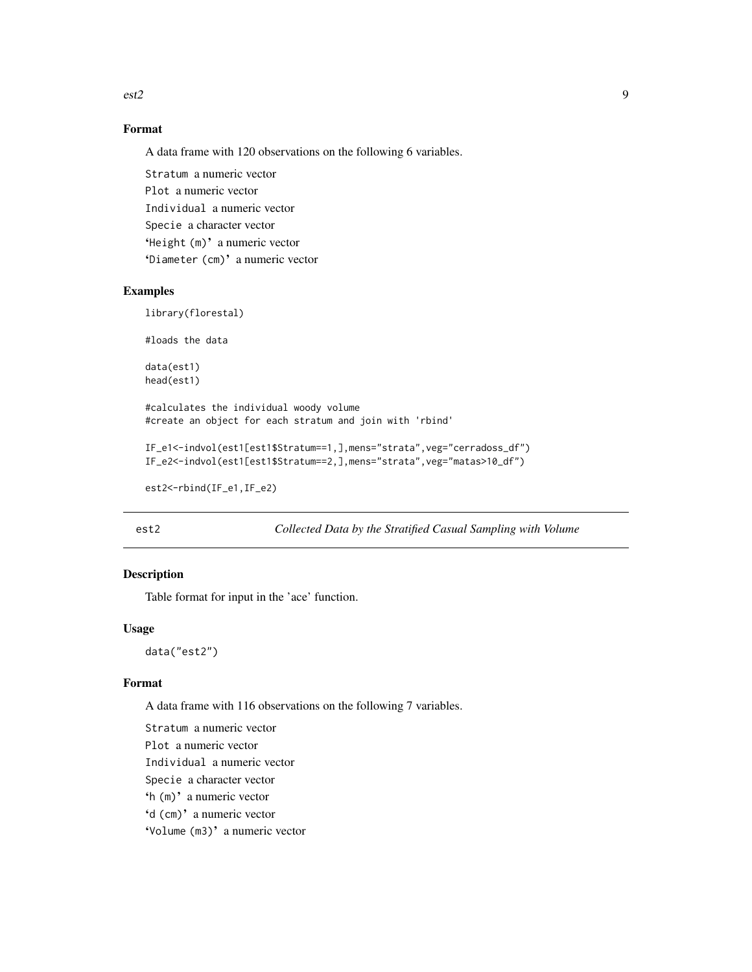<span id="page-8-0"></span>est2 9

# Format

A data frame with 120 observations on the following 6 variables.

Stratum a numeric vector Plot a numeric vector Individual a numeric vector Specie a character vector 'Height (m)' a numeric vector 'Diameter (cm)' a numeric vector

#### Examples

library(florestal)

#loads the data

data(est1) head(est1)

#calculates the individual woody volume #create an object for each stratum and join with 'rbind'

```
IF_e1<-indvol(est1[est1$Stratum==1,],mens="strata",veg="cerradoss_df")
IF_e2<-indvol(est1[est1$Stratum==2,],mens="strata",veg="matas>10_df")
```

```
est2<-rbind(IF_e1,IF_e2)
```
est2 *Collected Data by the Stratified Casual Sampling with Volume*

# Description

Table format for input in the 'ace' function.

# Usage

data("est2")

# Format

A data frame with 116 observations on the following 7 variables.

Stratum a numeric vector Plot a numeric vector Individual a numeric vector Specie a character vector 'h (m)' a numeric vector 'd (cm)' a numeric vector 'Volume (m3)' a numeric vector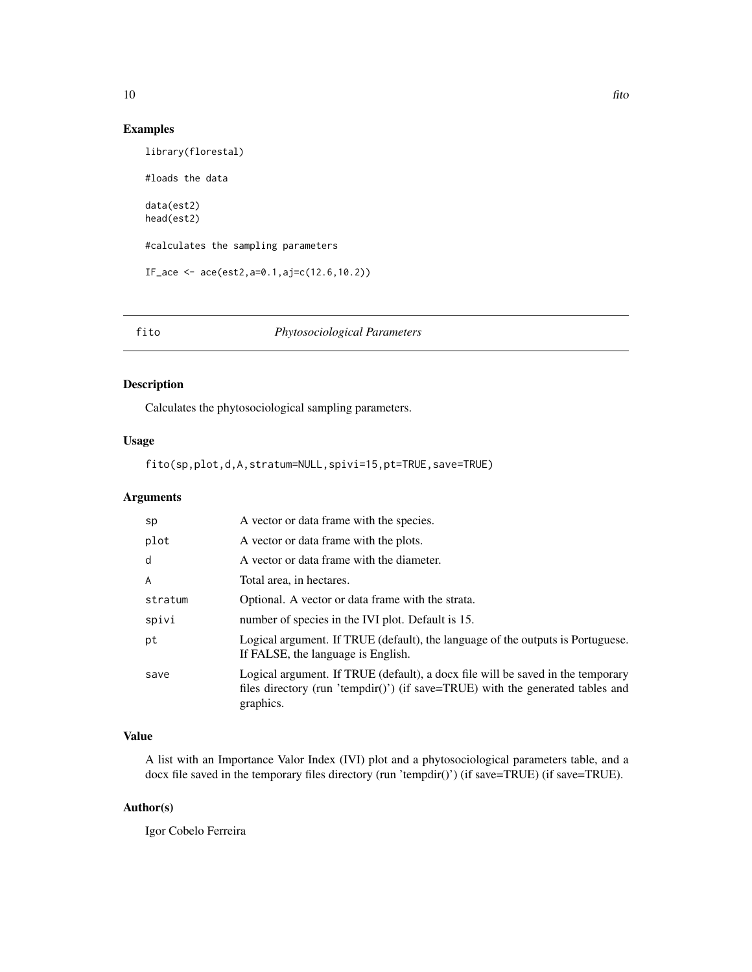# <span id="page-9-0"></span>Examples

```
library(florestal)
#loads the data
data(est2)
head(est2)
#calculates the sampling parameters
IF_ace <- ace(est2,a=0.1,aj=c(12.6,10.2))
```
#### fito *Phytosociological Parameters*

# Description

Calculates the phytosociological sampling parameters.

#### Usage

fito(sp,plot,d,A,stratum=NULL,spivi=15,pt=TRUE,save=TRUE)

# Arguments

| sp      | A vector or data frame with the species.                                                                                                                                       |
|---------|--------------------------------------------------------------------------------------------------------------------------------------------------------------------------------|
| plot    | A vector or data frame with the plots.                                                                                                                                         |
| d       | A vector or data frame with the diameter.                                                                                                                                      |
| A       | Total area, in hectares.                                                                                                                                                       |
| stratum | Optional. A vector or data frame with the strata.                                                                                                                              |
| spivi   | number of species in the IVI plot. Default is 15.                                                                                                                              |
| рt      | Logical argument. If TRUE (default), the language of the outputs is Portuguese.<br>If FALSE, the language is English.                                                          |
| save    | Logical argument. If TRUE (default), a docx file will be saved in the temporary<br>files directory (run 'tempdir()') (if save=TRUE) with the generated tables and<br>graphics. |

# Value

A list with an Importance Valor Index (IVI) plot and a phytosociological parameters table, and a docx file saved in the temporary files directory (run 'tempdir()') (if save=TRUE) (if save=TRUE).

# Author(s)

Igor Cobelo Ferreira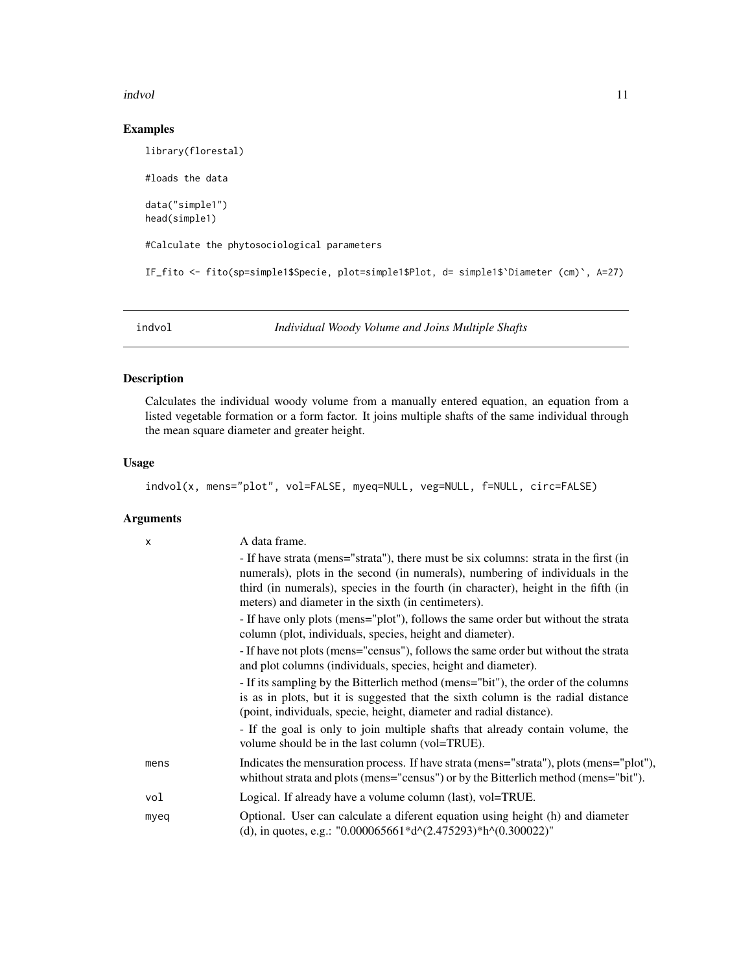#### <span id="page-10-0"></span>indvol 11

# Examples

```
library(florestal)
#loads the data
data("simple1")
head(simple1)
#Calculate the phytosociological parameters
IF_fito <- fito(sp=simple1$Specie, plot=simple1$Plot, d= simple1$`Diameter (cm)`, A=27)
```
indvol *Individual Woody Volume and Joins Multiple Shafts*

# Description

Calculates the individual woody volume from a manually entered equation, an equation from a listed vegetable formation or a form factor. It joins multiple shafts of the same individual through the mean square diameter and greater height.

#### Usage

indvol(x, mens="plot", vol=FALSE, myeq=NULL, veg=NULL, f=NULL, circ=FALSE)

# Arguments

| X    | A data frame.                                                                                                                                                                                                                                                                                                      |
|------|--------------------------------------------------------------------------------------------------------------------------------------------------------------------------------------------------------------------------------------------------------------------------------------------------------------------|
|      | - If have strata (mens="strata"), there must be six columns: strata in the first (in<br>numerals), plots in the second (in numerals), numbering of individuals in the<br>third (in numerals), species in the fourth (in character), height in the fifth (in<br>meters) and diameter in the sixth (in centimeters). |
|      | - If have only plots (mens="plot"), follows the same order but without the strata<br>column (plot, individuals, species, height and diameter).                                                                                                                                                                     |
|      | - If have not plots (mens="census"), follows the same order but without the strata<br>and plot columns (individuals, species, height and diameter).                                                                                                                                                                |
|      | - If its sampling by the Bitterlich method (mens="bit"), the order of the columns<br>is as in plots, but it is suggested that the sixth column is the radial distance<br>(point, individuals, specie, height, diameter and radial distance).                                                                       |
|      | - If the goal is only to join multiple shafts that already contain volume, the<br>volume should be in the last column (vol=TRUE).                                                                                                                                                                                  |
| mens | Indicates the mensuration process. If have strata (mens="strata"), plots (mens="plot"),<br>whithout strata and plots (mens="census") or by the Bitterlich method (mens="bit").                                                                                                                                     |
| vol  | Logical. If already have a volume column (last), vol=TRUE.                                                                                                                                                                                                                                                         |
| myeq | Optional. User can calculate a diferent equation using height (h) and diameter<br>(d), in quotes, e.g.: "0.000065661*d^(2.475293)*h^(0.300022)"                                                                                                                                                                    |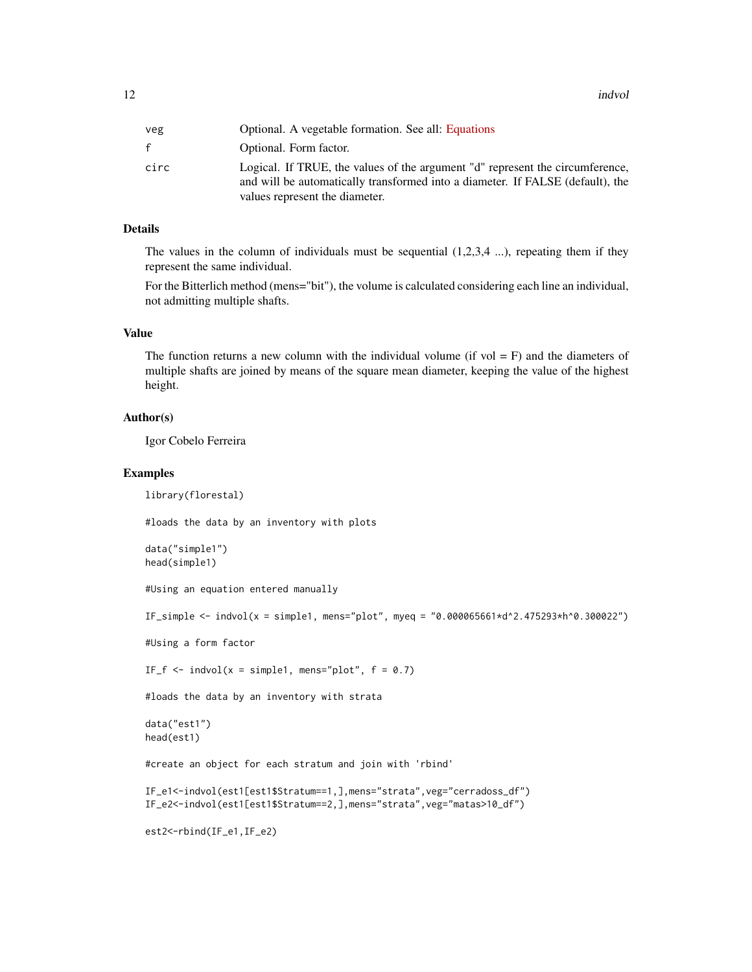12 indvolved and the contract of the contract of the contract of the contract of the contract of the contract of the contract of the contract of the contract of the contract of the contract of the contract of the contract

| veg  | Optional. A vegetable formation. See all: Equations                                                                                                                                               |
|------|---------------------------------------------------------------------------------------------------------------------------------------------------------------------------------------------------|
| f.   | Optional. Form factor.                                                                                                                                                                            |
| circ | Logical. If TRUE, the values of the argument "d" represent the circumference,<br>and will be automatically transformed into a diameter. If FALSE (default), the<br>values represent the diameter. |

# Details

The values in the column of individuals must be sequential  $(1,2,3,4, \ldots)$ , repeating them if they represent the same individual.

For the Bitterlich method (mens="bit"), the volume is calculated considering each line an individual, not admitting multiple shafts.

#### Value

The function returns a new column with the individual volume (if vol  $=$  F) and the diameters of multiple shafts are joined by means of the square mean diameter, keeping the value of the highest height.

#### Author(s)

Igor Cobelo Ferreira

#### Examples

library(florestal)

#loads the data by an inventory with plots

```
data("simple1")
head(simple1)
```
#Using an equation entered manually

 $IF\_simple < -$  indvol(x = simple1, mens="plot", myeq = "0.000065661\*d^2.475293\*h^0.300022")

#Using a form factor

IF\_f  $\le$  indvol(x = simple1, mens="plot",  $f = 0.7$ )

#loads the data by an inventory with strata

```
data("est1")
head(est1)
```
#create an object for each stratum and join with 'rbind'

```
IF_e1<-indvol(est1[est1$Stratum==1,],mens="strata",veg="cerradoss_df")
IF_e2<-indvol(est1[est1$Stratum==2,],mens="strata",veg="matas>10_df")
```
est2<-rbind(IF\_e1,IF\_e2)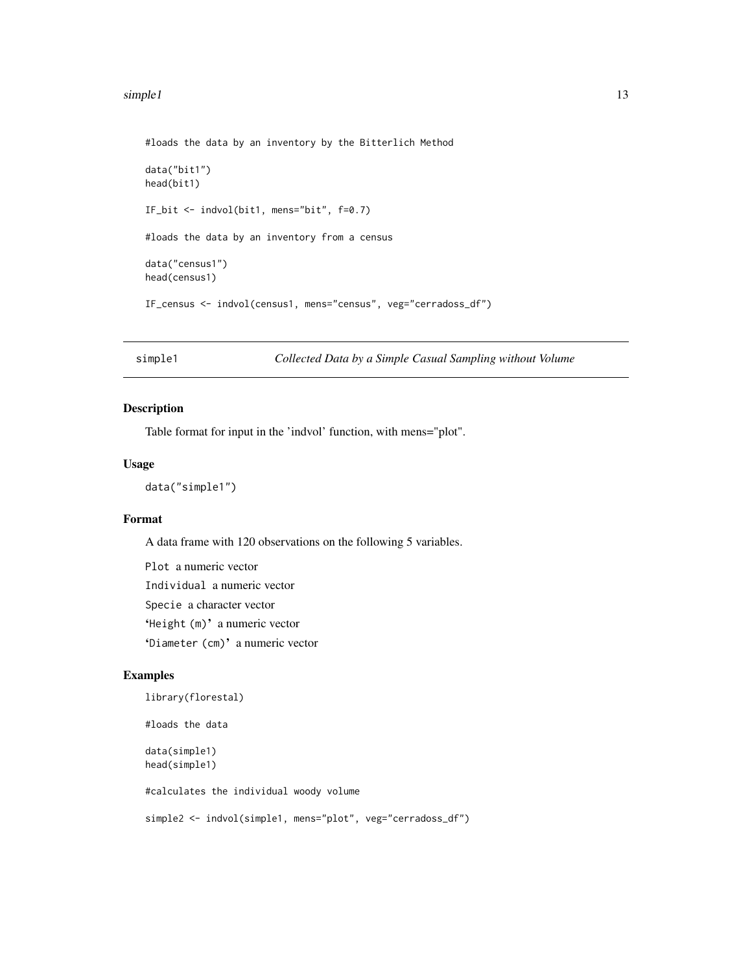#### <span id="page-12-0"></span>simple1 13

```
#loads the data by an inventory by the Bitterlich Method
data("bit1")
head(bit1)
IF_bit <- indvol(bit1, mens="bit", f=0.7)
#loads the data by an inventory from a census
data("census1")
head(census1)
IF_census <- indvol(census1, mens="census", veg="cerradoss_df")
```

```
simple1 Collected Data by a Simple Casual Sampling without Volume
```
#### Description

Table format for input in the 'indvol' function, with mens="plot".

#### Usage

```
data("simple1")
```
# Format

A data frame with 120 observations on the following 5 variables.

Plot a numeric vector Individual a numeric vector Specie a character vector 'Height (m)' a numeric vector 'Diameter (cm)' a numeric vector

# Examples

```
library(florestal)
```
#loads the data

data(simple1) head(simple1)

#calculates the individual woody volume

```
simple2 <- indvol(simple1, mens="plot", veg="cerradoss_df")
```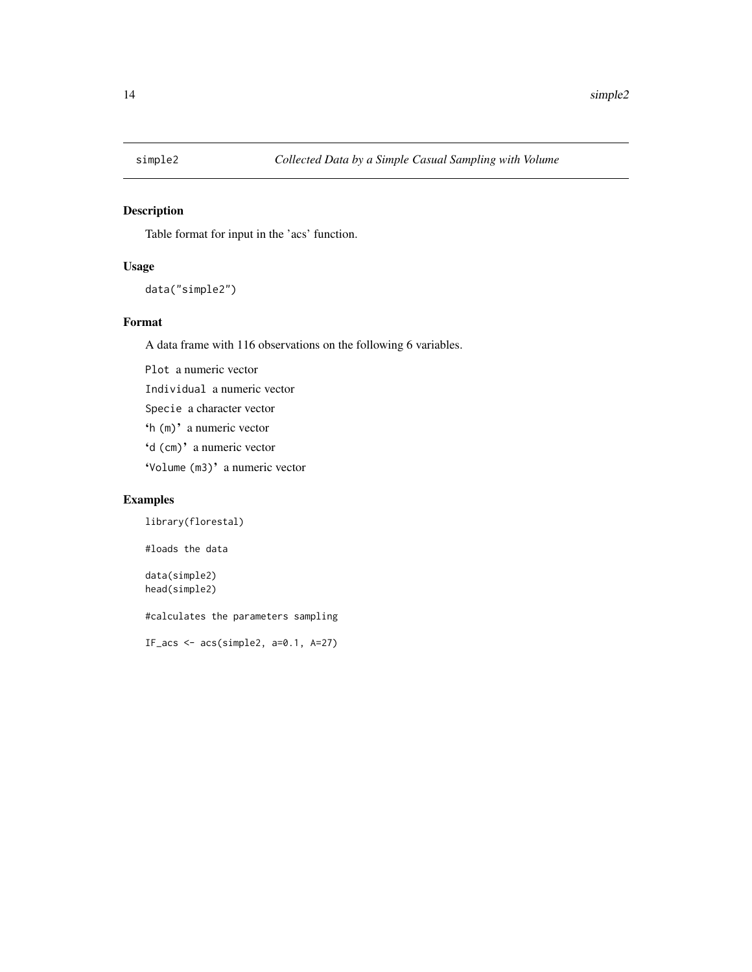<span id="page-13-0"></span>

# Description

Table format for input in the 'acs' function.

# Usage

```
data("simple2")
```
# Format

A data frame with 116 observations on the following 6 variables.

Plot a numeric vector Individual a numeric vector Specie a character vector 'h (m)' a numeric vector 'd (cm)' a numeric vector 'Volume (m3)' a numeric vector

# Examples

library(florestal)

#loads the data

data(simple2) head(simple2)

#calculates the parameters sampling

IF\_acs  $\leq$  acs(simple2, a=0.1, A=27)